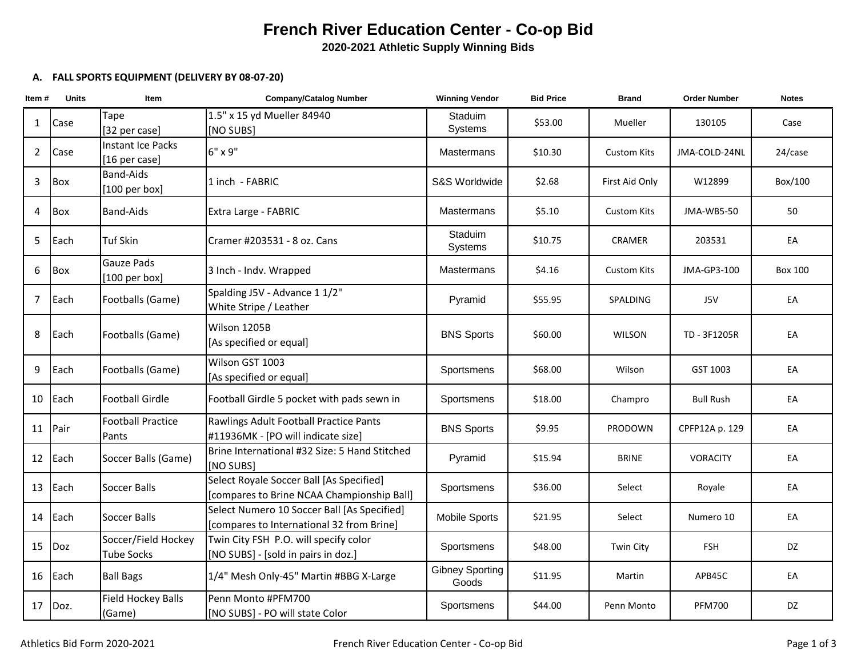## **French River Education Center - Co-op Bid**

**2020-2021 Athletic Supply Winning Bids**

## **A. FALL SPORTS EQUIPMENT (DELIVERY BY 08-07-20)**

| Item#           | <b>Units</b> | Item                                      | <b>Company/Catalog Number</b>                                                            | <b>Winning Vendor</b>           | <b>Bid Price</b> | <b>Brand</b>       | <b>Order Number</b> | <b>Notes</b> |
|-----------------|--------------|-------------------------------------------|------------------------------------------------------------------------------------------|---------------------------------|------------------|--------------------|---------------------|--------------|
| $\mathbf{1}$    | Case         | Tape<br>[32 per case]                     | 1.5" x 15 yd Mueller 84940<br>[NO SUBS]                                                  | Staduim<br>Systems              | \$53.00          | Mueller            | 130105              | Case         |
| $\overline{2}$  | Case         | <b>Instant Ice Packs</b><br>[16 per case] | 6" x 9"                                                                                  | <b>Mastermans</b>               | \$10.30          | <b>Custom Kits</b> | JMA-COLD-24NL       | 24/case      |
| 3               | Box          | <b>Band-Aids</b><br>$[100$ per box]       | 1 inch - FABRIC                                                                          | S&S Worldwide                   | \$2.68           | First Aid Only     | W12899              | Box/100      |
| 4               | Box          | <b>Band-Aids</b>                          | Extra Large - FABRIC                                                                     | Mastermans                      | \$5.10           | <b>Custom Kits</b> | JMA-WB5-50          | 50           |
| 5               | Each         | <b>Tuf Skin</b>                           | Cramer #203531 - 8 oz. Cans                                                              | <b>Staduim</b><br>Systems       | \$10.75          | <b>CRAMER</b>      | 203531              | EA           |
| 6               | Box          | Gauze Pads<br>$[100$ per box]             | 3 Inch - Indv. Wrapped                                                                   | Mastermans                      | \$4.16           | <b>Custom Kits</b> | JMA-GP3-100         | Box 100      |
| $\overline{7}$  | Each         | Footballs (Game)                          | Spalding J5V - Advance 1 1/2"<br>White Stripe / Leather                                  | Pyramid                         | \$55.95          | SPALDING           | J5V                 | EA           |
| 8               | Each         | Footballs (Game)                          | Wilson 1205B<br>[As specified or equal]                                                  | <b>BNS Sports</b>               | \$60.00          | <b>WILSON</b>      | TD - 3F1205R        | EA           |
| 9               | Each         | Footballs (Game)                          | Wilson GST 1003<br>[As specified or equal]                                               | Sportsmens                      | \$68.00          | Wilson             | GST 1003            | EA           |
| 10              | Each         | <b>Football Girdle</b>                    | Football Girdle 5 pocket with pads sewn in                                               | Sportsmens                      | \$18.00          | Champro            | <b>Bull Rush</b>    | EA           |
| 11              | Pair         | <b>Football Practice</b><br>Pants         | Rawlings Adult Football Practice Pants<br>#11936MK - [PO will indicate size]             | <b>BNS Sports</b>               | \$9.95           | <b>PRODOWN</b>     | CPFP12A p. 129      | EA           |
|                 | 12 Each      | Soccer Balls (Game)                       | Brine International #32 Size: 5 Hand Stitched<br>[NO SUBS]                               | Pyramid                         | \$15.94          | <b>BRINE</b>       | <b>VORACITY</b>     | EA           |
|                 | 13 Each      | Soccer Balls                              | Select Royale Soccer Ball [As Specified]<br>[compares to Brine NCAA Championship Ball]   | Sportsmens                      | \$36.00          | Select             | Royale              | EA           |
|                 | 14 Each      | <b>Soccer Balls</b>                       | Select Numero 10 Soccer Ball [As Specified]<br>[compares to International 32 from Brine] | <b>Mobile Sports</b>            | \$21.95          | Select             | Numero 10           | EA           |
| 15 <sub>1</sub> | Doz          | Soccer/Field Hockey<br><b>Tube Socks</b>  | Twin City FSH P.O. will specify color<br>[NO SUBS] - [sold in pairs in doz.]             | Sportsmens                      | \$48.00          | <b>Twin City</b>   | <b>FSH</b>          | DZ           |
|                 | 16 Each      | <b>Ball Bags</b>                          | 1/4" Mesh Only-45" Martin #BBG X-Large                                                   | <b>Gibney Sporting</b><br>Goods | \$11.95          | Martin             | APB45C              | EA           |
|                 | $17$ Doz.    | <b>Field Hockey Balls</b><br>(Game)       | Penn Monto #PFM700<br>[NO SUBS] - PO will state Color                                    | Sportsmens                      | \$44.00          | Penn Monto         | <b>PFM700</b>       | DZ           |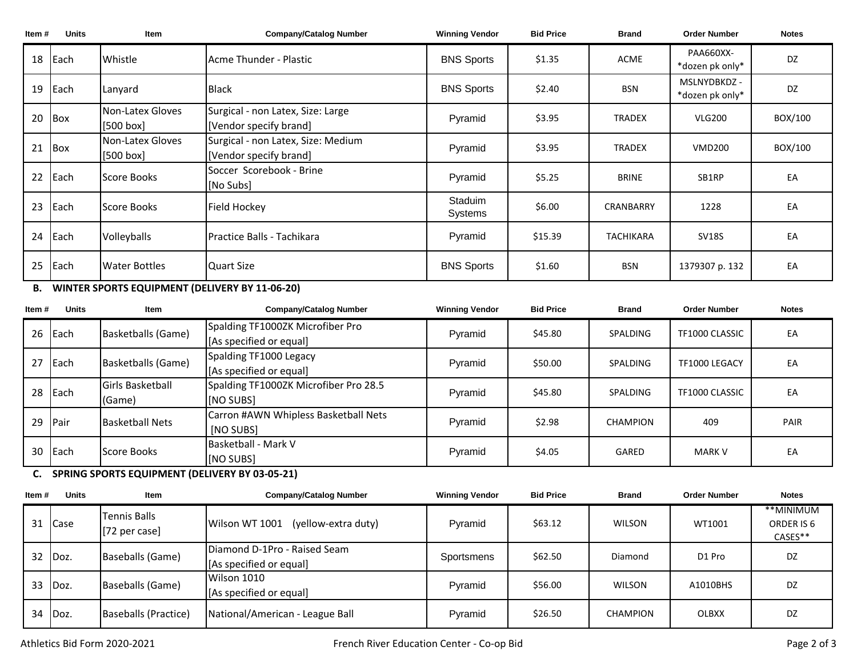| Item# | <b>Units</b>  | Item                            | <b>Company/Catalog Number</b>                                | <b>Winning Vendor</b> | <b>Bid Price</b> | <b>Brand</b>     | <b>Order Number</b>             | <b>Notes</b> |
|-------|---------------|---------------------------------|--------------------------------------------------------------|-----------------------|------------------|------------------|---------------------------------|--------------|
| 18    | <b>I</b> Each | Whistle                         | Acme Thunder - Plastic                                       | <b>BNS Sports</b>     | \$1.35           | <b>ACME</b>      | PAA660XX-<br>*dozen pk only*    | <b>DZ</b>    |
| 19    | <b>I</b> Each | Lanyard                         | <b>Black</b>                                                 | <b>BNS Sports</b>     | \$2.40           | <b>BSN</b>       | MSLNYDBKDZ -<br>*dozen pk only* | <b>DZ</b>    |
| 20    | Box           | Non-Latex Gloves<br>$[500$ box] | Surgical - non Latex, Size: Large<br>[Vendor specify brand]  | Pyramid               | \$3.95           | <b>TRADEX</b>    | <b>VLG200</b>                   | BOX/100      |
| 21    | Box           | Non-Latex Gloves<br>[500 box]   | Surgical - non Latex, Size: Medium<br>[Vendor specify brand] | Pyramid               | \$3.95           | <b>TRADEX</b>    | <b>VMD200</b>                   | BOX/100      |
| 22    | Each          | Score Books                     | Soccer Scorebook - Brine<br>[No Subs]                        | Pyramid               | \$5.25           | <b>BRINE</b>     | SB1RP                           | EA           |
| 23    | Each          | Score Books                     | Field Hockey                                                 | Staduim<br>Systems    | \$6.00           | CRANBARRY        | 1228                            | EA           |
| 24    | <b>I</b> Each | Volleyballs                     | IPractice Balls - Tachikara                                  | Pyramid               | \$15.39          | <b>TACHIKARA</b> | <b>SV18S</b>                    | EA           |
| 25    | <b>I</b> Each | <b>Water Bottles</b>            | Quart Size                                                   | <b>BNS Sports</b>     | \$1.60           | <b>BSN</b>       | 1379307 p. 132                  | EA           |

**B. WINTER SPORTS EQUIPMENT (DELIVERY BY 11-06-20)**

| Item# | <b>Units</b> | Item                    | <b>Company/Catalog Number</b>         | <b>Winning Vendor</b> | <b>Bid Price</b> | <b>Brand</b>    | <b>Order Number</b> | <b>Notes</b> |
|-------|--------------|-------------------------|---------------------------------------|-----------------------|------------------|-----------------|---------------------|--------------|
| 26    | Each         | Basketballs (Game)      | Spalding TF1000ZK Microfiber Pro      | Pyramid               | \$45.80          | SPALDING        | TF1000 CLASSIC      | EA           |
|       |              |                         | [As specified or equal]               |                       |                  |                 |                     |              |
| 27    | Each         | Basketballs (Game)      | Spalding TF1000 Legacy                | Pyramid               | \$50.00          | SPALDING        | TF1000 LEGACY       | EA           |
|       |              |                         | [As specified or equal]               |                       |                  |                 |                     |              |
| 28    | Each         | <b>Girls Basketball</b> | Spalding TF1000ZK Microfiber Pro 28.5 | Pyramid               | \$45.80          | SPALDING        | TF1000 CLASSIC      | EA           |
|       |              | (Game)                  | [NO SUBS]                             |                       |                  |                 |                     |              |
| 29    | <b>IPair</b> | <b>Basketball Nets</b>  | Carron #AWN Whipless Basketball Nets  | Pyramid               | \$2.98           | <b>CHAMPION</b> | 409                 | PAIR         |
|       |              |                         | [NO SUBS]                             |                       |                  |                 |                     |              |
| 30    | Each         | Score Books             | Basketball - Mark V                   | Pyramid               | \$4.05           | GARED           | <b>MARK V</b>       |              |
|       |              |                         | [NO SUBS]                             |                       |                  |                 |                     | EA           |

## **C. SPRING SPORTS EQUIPMENT (DELIVERY BY 03-05-21)**

| Item # | <b>Units</b> | <b>Item</b>                     | <b>Company/Catalog Number</b>                           | <b>Winning Vendor</b> | <b>Bid Price</b> | <b>Brand</b>  | <b>Order Number</b> | <b>Notes</b>                       |
|--------|--------------|---------------------------------|---------------------------------------------------------|-----------------------|------------------|---------------|---------------------|------------------------------------|
|        | 31 Case      | Tennis Balls<br>$[72$ per case] | Wilson WT 1001<br>(yellow-extra duty)                   | Pyramid               | \$63.12          | <b>WILSON</b> | WT1001              | **MINIMUM<br>ORDER IS 6<br>CASES** |
| 32     | Doz.         | Baseballs (Game)                | Diamond D-1Pro - Raised Seam<br>[As specified or equal] | Sportsmens            | \$62.50          | Diamond       | D <sub>1</sub> Pro  | DZ                                 |
| 33     | Doz.         | Baseballs (Game)                | Wilson 1010<br>[As specified or equal]                  | Pyramid               | \$56.00          | <b>WILSON</b> | A1010BHS            | DZ                                 |
| 34     | Doz.         | Baseballs (Practice)            | National/American - League Ball                         | Pyramid               | \$26.50          | CHAMPION      | <b>OLBXX</b>        | DZ                                 |